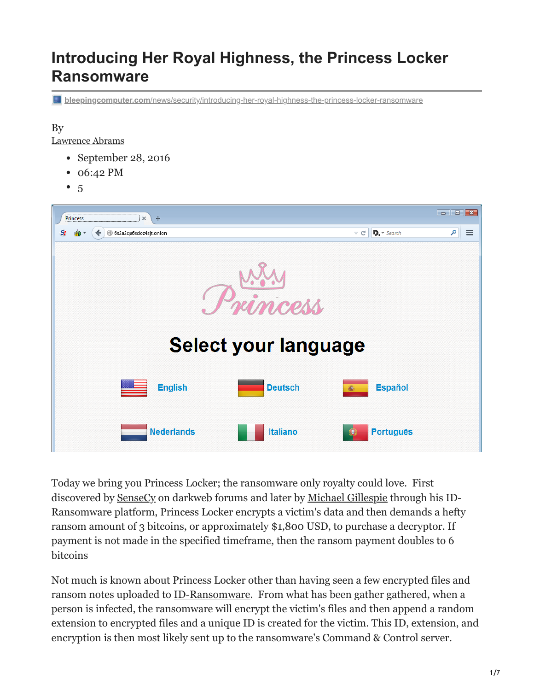# **Introducing Her Royal Highness, the Princess Locker Ransomware**

**bleepingcomputer.com**[/news/security/introducing-her-royal-highness-the-princess-locker-ransomware](https://www.bleepingcomputer.com/news/security/introducing-her-royal-highness-the-princess-locker-ransomware/)

#### By

[Lawrence Abrams](https://www.bleepingcomputer.com/author/lawrence-abrams/)

- September 28, 2016
- 06:42 PM
- $5$  $5$



Today we bring you Princess Locker; the ransomware only royalty could love. First discovered by [SenseCy](https://twitter.com/SenseCyBlog/status/778866702410915840) on darkweb forums and later by [Michael Gillespie](https://twitter.com/demonslay335) through his ID-Ransomware platform, Princess Locker encrypts a victim's data and then demands a hefty ransom amount of 3 bitcoins, or approximately \$1,800 USD, to purchase a decryptor. If payment is not made in the specified timeframe, then the ransom payment doubles to 6 bitcoins

Not much is known about Princess Locker other than having seen a few encrypted files and ransom notes uploaded to [ID-Ransomware.](https://id-ransomware.malwarehunterteam.com/) From what has been gather gathered, when a person is infected, the ransomware will encrypt the victim's files and then append a random extension to encrypted files and a unique ID is created for the victim. This ID, extension, and encryption is then most likely sent up to the ransomware's Command & Control server.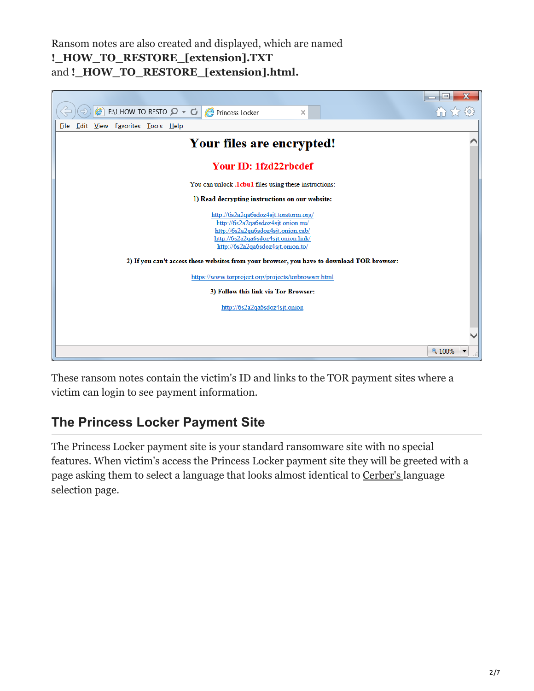Ransom notes are also created and displayed, which are named **!\_HOW\_TO\_RESTORE\_[extension].TXT** and **!\_HOW\_TO\_RESTORE\_[extension].html.**



These ransom notes contain the victim's ID and links to the TOR payment sites where a victim can login to see payment information.

## **The Princess Locker Payment Site**

The Princess Locker payment site is your standard ransomware site with no special features. When victim's access the Princess Locker payment site they will be greeted with a page asking them to select a language that looks almost identical to [Cerber's l](https://www.bleepingcomputer.com/news/security/the-cerber-ransomware-not-only-encrypts-your-data-but-also-speaks-to-you/)anguage selection page.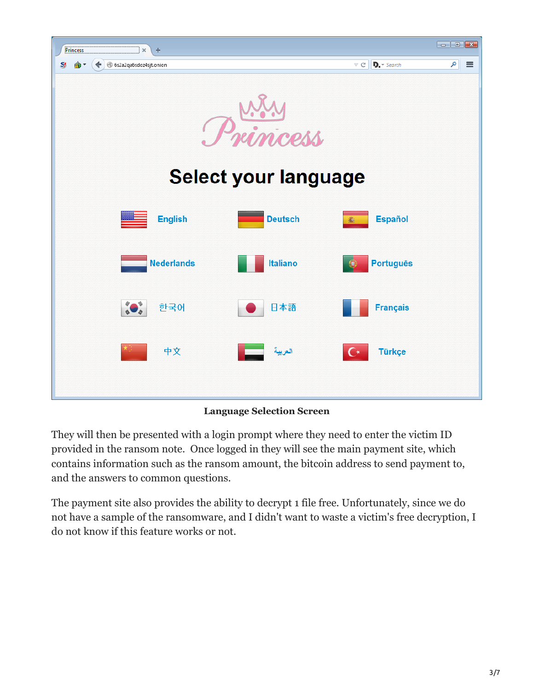

**Language Selection Screen**

They will then be presented with a login prompt where they need to enter the victim ID provided in the ransom note. Once logged in they will see the main payment site, which contains information such as the ransom amount, the bitcoin address to send payment to, and the answers to common questions.

The payment site also provides the ability to decrypt 1 file free. Unfortunately, since we do not have a sample of the ransomware, and I didn't want to waste a victim's free decryption, I do not know if this feature works or not.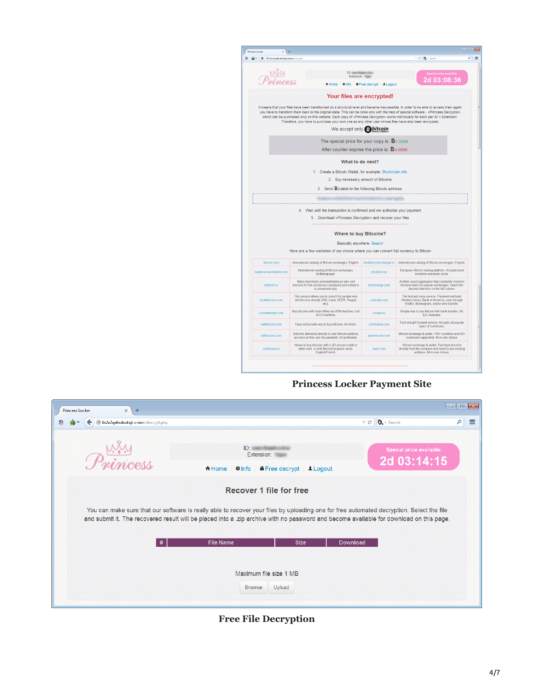| → (←) @ 6s2a2qa6sdoz4sjt.onion/user.php |                                                                                                                                                                                                                                                                                                                                                                                                                                                                                                                                                               |                        | v C D, - Search                                                                                                                               |
|-----------------------------------------|---------------------------------------------------------------------------------------------------------------------------------------------------------------------------------------------------------------------------------------------------------------------------------------------------------------------------------------------------------------------------------------------------------------------------------------------------------------------------------------------------------------------------------------------------------------|------------------------|-----------------------------------------------------------------------------------------------------------------------------------------------|
|                                         |                                                                                                                                                                                                                                                                                                                                                                                                                                                                                                                                                               |                        |                                                                                                                                               |
|                                         | ID: manufacturer                                                                                                                                                                                                                                                                                                                                                                                                                                                                                                                                              |                        | Special price available:                                                                                                                      |
|                                         | Extension:                                                                                                                                                                                                                                                                                                                                                                                                                                                                                                                                                    |                        | 2d 03:08:36                                                                                                                                   |
|                                         | A Home Olnfo A Free decrypt Logout                                                                                                                                                                                                                                                                                                                                                                                                                                                                                                                            |                        |                                                                                                                                               |
|                                         |                                                                                                                                                                                                                                                                                                                                                                                                                                                                                                                                                               |                        |                                                                                                                                               |
|                                         | Your files are encrypted!                                                                                                                                                                                                                                                                                                                                                                                                                                                                                                                                     |                        |                                                                                                                                               |
|                                         | It means that your files have been transformed on a structural level and became inaccessible. In order to be able to access them again<br>you have to transform them back to the original state. This can be done only with the help of special software - «Princess Decryptor»<br>which can be purchased only on this website. Each copy of «Princess Decryptor» works individually for each pair ID + Extension.<br>Therefore, you have to purchase your own one as any other user whose files have also been encrypted.<br>We accept only <b>B</b> bitcoin |                        |                                                                                                                                               |
|                                         |                                                                                                                                                                                                                                                                                                                                                                                                                                                                                                                                                               |                        |                                                                                                                                               |
|                                         | The special price for your copy is: $\mathbf{\ddot{B}}_{3.0000}$                                                                                                                                                                                                                                                                                                                                                                                                                                                                                              |                        |                                                                                                                                               |
|                                         | After counter expires the price is: $\mathbf{B}_{6,0000}$                                                                                                                                                                                                                                                                                                                                                                                                                                                                                                     |                        |                                                                                                                                               |
|                                         | What to do next?                                                                                                                                                                                                                                                                                                                                                                                                                                                                                                                                              |                        |                                                                                                                                               |
|                                         | 1. Create a Bitcoin Wallet, for example: Blockchain.info                                                                                                                                                                                                                                                                                                                                                                                                                                                                                                      |                        |                                                                                                                                               |
|                                         | 2. Buy necessary amount of Bitcoins                                                                                                                                                                                                                                                                                                                                                                                                                                                                                                                           |                        |                                                                                                                                               |
|                                         |                                                                                                                                                                                                                                                                                                                                                                                                                                                                                                                                                               |                        |                                                                                                                                               |
|                                         |                                                                                                                                                                                                                                                                                                                                                                                                                                                                                                                                                               |                        |                                                                                                                                               |
|                                         | 3. Send <b>D</b> 3,0000 to the following Bitcoin address:                                                                                                                                                                                                                                                                                                                                                                                                                                                                                                     |                        |                                                                                                                                               |
|                                         | 4. Wait until the transaction is confirmed and we authorize your payment<br>5. Download «Princess Decryptor» and recover your files                                                                                                                                                                                                                                                                                                                                                                                                                           |                        |                                                                                                                                               |
|                                         |                                                                                                                                                                                                                                                                                                                                                                                                                                                                                                                                                               |                        |                                                                                                                                               |
|                                         | <b>Where to buy Bitcoins?</b>                                                                                                                                                                                                                                                                                                                                                                                                                                                                                                                                 |                        |                                                                                                                                               |
|                                         | Basically anywhere. Search                                                                                                                                                                                                                                                                                                                                                                                                                                                                                                                                    |                        |                                                                                                                                               |
|                                         | Here are a few websites of our choice where you can convert fiat currency to Bitcoin                                                                                                                                                                                                                                                                                                                                                                                                                                                                          |                        |                                                                                                                                               |
| bitcoin.com                             | International catalog of Bitcoin exchanges. English.                                                                                                                                                                                                                                                                                                                                                                                                                                                                                                          | bestbitcoinexchange.io | International catalog of Bitcoin exchanges. English.                                                                                          |
| buybitcoinworldwide.com                 | International catalog of Bitcoin exchanges.<br>Multilanguage.                                                                                                                                                                                                                                                                                                                                                                                                                                                                                                 | btcdirect eu           | European Bitcoin trading platform. Accepts bank<br>transfers and bank cards.                                                                  |
| bittybot.co                             | Many merchants and marketplaces who sell<br>bitcoins for fiat currencies compared and sorted in<br>a convenient way.                                                                                                                                                                                                                                                                                                                                                                                                                                          | bestchange.com         | Another good aggregator that constantly monitors<br>the best rates for popular exchanges. Select the<br>desired direction on the left column. |
| localbitcoins.com                       | This service allows you to search for people who<br>sell bitcoins directly (WU, Cash, SEPA, Paypal,<br>etc).                                                                                                                                                                                                                                                                                                                                                                                                                                                  | coincafe com           | The fast and easy service. Payment methods:<br>Western Union, Bank of America, cash through<br>FedEx, Moneygram, and/or wire transfer.        |
| coinatmradar.com                        | Buy bitcoins with cash offline via ATM machine. List<br>of 53 countries.                                                                                                                                                                                                                                                                                                                                                                                                                                                                                      | coinjar.eu             | Simple way to buy Bitcoin with bank transfer. UK,<br>EU, Australia.                                                                           |
| wallofcoins.com                         | Easy and private way to buy bitcoins. No limits.                                                                                                                                                                                                                                                                                                                                                                                                                                                                                                              | coinmama.com           | Fast straight forward service. Accepts all popular<br>types of currencies.                                                                    |
| bittylicious.com                        | Bitcoins delivered directly to your Bitcoin address<br>as soon as they see the payment. UK preferably.                                                                                                                                                                                                                                                                                                                                                                                                                                                        | spectrocoin.com        | Bitcoin exchange & wallet. 150+ countries and 30+<br>currencies supported. All-in-one choice.                                                 |

#### **Princess Locker Payment Site**

| <b>Princess Locker</b><br>$\times$<br>÷   |                                                                                                                                                                                                                                                                                                                       |                                   |                 |                                         |   |          |
|-------------------------------------------|-----------------------------------------------------------------------------------------------------------------------------------------------------------------------------------------------------------------------------------------------------------------------------------------------------------------------|-----------------------------------|-----------------|-----------------------------------------|---|----------|
| 6s2a2qa6sdoz4sjt.onion/decrypt.php<br>SI. |                                                                                                                                                                                                                                                                                                                       |                                   | $\vee$ C        | $D$ . Search                            | م | $\equiv$ |
|                                           | ID:<br>Extension:<br>A Home<br>$Q \ln f$                                                                                                                                                                                                                                                                              | <b>A</b> Free decrypt<br>1 Logout |                 | Special price available:<br>2d 03:14:15 |   |          |
|                                           | <b>Recover 1 file for free</b><br>You can make sure that our software is really able to recover your files by uploading one for free automated decryption. Select the file<br>and submit it. The recovered result will be placed into a .zip archive with no password and become available for download on this page. |                                   |                 |                                         |   |          |
|                                           | <b>File Name</b>                                                                                                                                                                                                                                                                                                      | <b>Size</b>                       | <b>Download</b> |                                         |   |          |
|                                           | Maximum file size 1 MB<br><b>Browse</b>                                                                                                                                                                                                                                                                               | Upload                            |                 |                                         |   |          |

**Free File Decryption**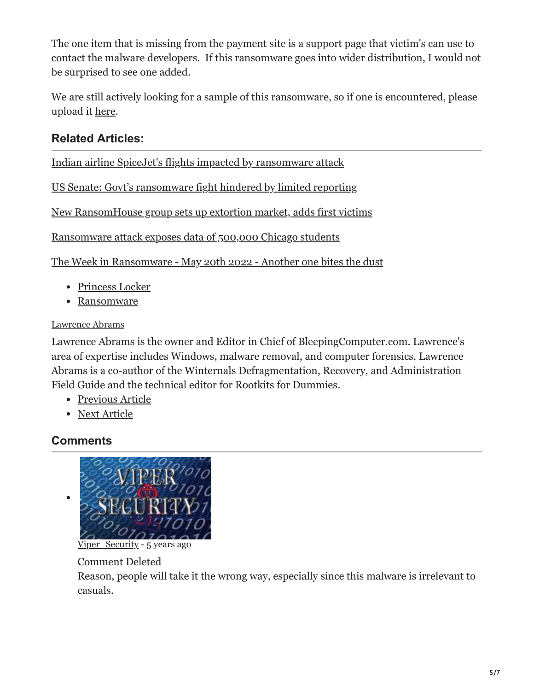The one item that is missing from the payment site is a support page that victim's can use to contact the malware developers. If this ransomware goes into wider distribution, I would not be surprised to see one added.

We are still actively looking for a sample of this ransomware, so if one is encountered, please upload it [here.](https://www.bleepingcomputer.com/submit-malware.php?channel=168)

### **Related Articles:**

[Indian airline SpiceJet's flights impacted by ransomware attack](https://www.bleepingcomputer.com/news/security/indian-airline-spicejets-flights-impacted-by-ransomware-attack/)

[US Senate: Govt's ransomware fight hindered by limited reporting](https://www.bleepingcomputer.com/news/security/us-senate-govt-s-ransomware-fight-hindered-by-limited-reporting/)

[New RansomHouse group sets up extortion market, adds first victims](https://www.bleepingcomputer.com/news/security/new-ransomhouse-group-sets-up-extortion-market-adds-first-victims/)

[Ransomware attack exposes data of 500,000 Chicago students](https://www.bleepingcomputer.com/news/security/ransomware-attack-exposes-data-of-500-000-chicago-students/)

[The Week in Ransomware - May 20th 2022 - Another one bites the dust](https://www.bleepingcomputer.com/news/security/the-week-in-ransomware-may-20th-2022-another-one-bites-the-dust/)

- [Princess Locker](https://www.bleepingcomputer.com/tag/princess-locker/)
- [Ransomware](https://www.bleepingcomputer.com/tag/ransomware/)

#### [Lawrence Abrams](https://www.bleepingcomputer.com/author/lawrence-abrams/)

Lawrence Abrams is the owner and Editor in Chief of BleepingComputer.com. Lawrence's area of expertise includes Windows, malware removal, and computer forensics. Lawrence Abrams is a co-author of the Winternals Defragmentation, Recovery, and Administration Field Guide and the technical editor for Rootkits for Dummies.

- [Previous Article](https://www.bleepingcomputer.com/news/microsoft/windows-10-insider-preview-build-14936-for-pc-and-mobile-released/)
- [Next Article](https://www.bleepingcomputer.com/news/security/kaspersky-decrypts-ransomware-from-teamxrat/)

## <span id="page-4-0"></span>**Comments**



[Viper\\_Security](https://www.bleepingcomputer.com/forums/u/1006400/viper-security/) - 5 years ago

Comment Deleted

Reason, people will take it the wrong way, especially since this malware is irrelevant to casuals.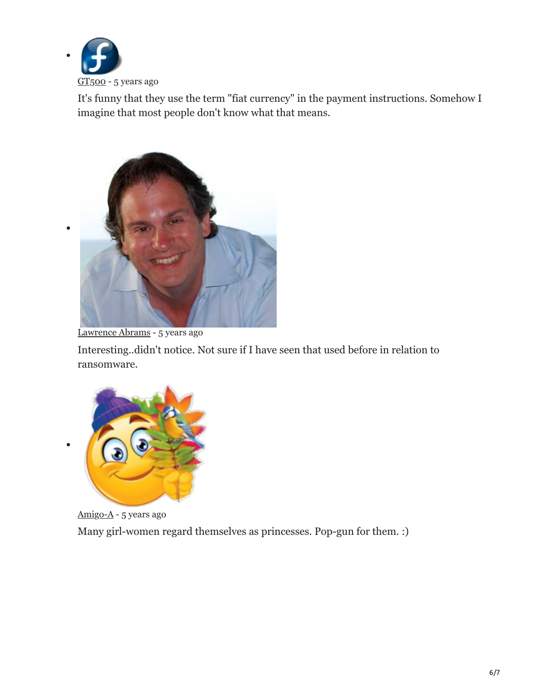

It's funny that they use the term "fiat currency" in the payment instructions. Somehow I imagine that most people don't know what that means.



[Lawrence Abrams](https://www.bleepingcomputer.com/author/lawrence-abrams/) - 5 years ago

Interesting..didn't notice. Not sure if I have seen that used before in relation to ransomware.



[Amigo-A](https://www.bleepingcomputer.com/forums/u/998576/amigo-a/) - 5 years ago Many girl-women regard themselves as princesses. Pop-gun for them. :)